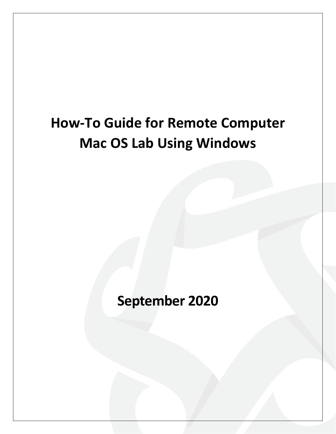# **How-To Guide for Remote Computer Mac OS Lab Using Windows**

**September 2020**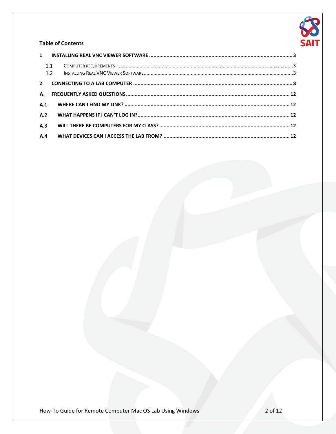

### **Table of Contents**

|                         | 1.1<br>1.2 |  |
|-------------------------|------------|--|
| $\overline{\mathbf{z}}$ |            |  |
| А.                      |            |  |
| A.1                     |            |  |
| A.2                     |            |  |
| A.3                     |            |  |
| A.4                     |            |  |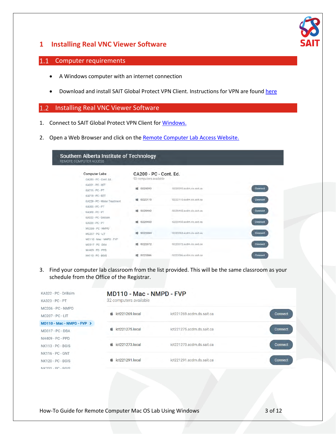

# <span id="page-2-0"></span>**1 Installing Real VNC Viewer Software**

## <span id="page-2-1"></span>1.1 Computer requirements

- A Windows computer with an internet connection
- Download and install SAIT Global Protect VPN Client. Instructions for VPN are found [here](https://www.sait.ca/student-life/student-services/technical-support-and-resources/network-and-wifi-access)

#### <span id="page-2-2"></span>Installing Real VNC Viewer Software  $1.2$

- 1. Connect to SAIT Global Protect VPN Client fo[r Windows.](https://www.sait.ca/about-sait/administration/departments/health-safety-and-environment-services/pandemic-response/vpn-windows#new_tab)
- 2. Open a Web Browser and click on th[e Remote Computer Lab Access Website.](https://remoteaccess.labstats.com/southern-alberta-institute-of-technology)

### Southern Alberta Institute of Technology REMOTE COMPUTER ACCESS

| <b>Computer Labs</b><br>CA200 - PC - Cont. Ed. | CA200 - PC - Cont. Ed.<br>93 computers available |                           |                |
|------------------------------------------------|--------------------------------------------------|---------------------------|----------------|
| KA021 - PC - IIET                              |                                                  |                           |                |
| KA216 - PC - PT                                | IS220393<br>頭                                    | IS220393 andm.ds sait ca  | Connect        |
| KA218 - PC - EET                               |                                                  |                           |                |
| KA229 - PC - Water Treatment                   | IS222110<br>謡                                    | IS222110.acdm.ds.sait.ca  | Connect        |
| KA303 - PC - PT                                |                                                  |                           |                |
| KA3D9 - PC - PT                                | IS220442<br>蟷                                    | IS220442.acdm.ds.sait.ca. | <b>Connect</b> |
| KA322 - PC - Drillsim                          |                                                  |                           |                |
| KA323 - PC - PT                                | <b>謡 IS220450</b>                                | IS220450.acdm.ds.sait.ca  | <b>Connect</b> |
| MC206 - PC - NMPD                              |                                                  |                           |                |
| MC207 - PC - LIT                               | <b>■ IS222084</b>                                | IS222084.acdm.ds sait ca  | <b>Connect</b> |
| MD110 - Mac - NMPD - FVP                       |                                                  |                           |                |
| MD317 - PC - DBA                               | IS222072<br>45                                   | IS222072.acdm.ds.sait.ca  | <b>Connect</b> |
| NH409 - PC - PPD                               |                                                  |                           |                |
| NK113 - PC - BGIS                              | IS222086                                         | IS222086.acdm.ds.sait.ca  | <b>Connect</b> |
|                                                |                                                  |                           |                |

3. Find your computer lab classroom from the list provided. This will be the same classroom as your schedule from the Office of the Registrar.

| KA322 - PC - Drillsim<br>KA323 - PC - PT         | MD110 - Mac - NMPD - FVP<br>32 computers available |                           |                |  |  |  |
|--------------------------------------------------|----------------------------------------------------|---------------------------|----------------|--|--|--|
| MC206 - PC - NMPD<br>MC207 - PC - LIT            | $\bullet$ ict221269.local                          | ict221269.acdm.ds.sait.ca | Connect        |  |  |  |
| $MD110 - Mac - NMPD - FVP$ ><br>MD317 - PC - DBA | $\bullet$ ict221275.local                          | ict221275.acdm.ds.sait.ca | Connect        |  |  |  |
| NH409 - PC - PPD<br>NK113 - PC - BGIS            | $\dot{\bullet}$ ict221273.local                    | ict221273.acdm.ds.sait.ca | <b>Connect</b> |  |  |  |
| NK116 - PC - GNT<br><b>NK120 - PC - BGIS</b>     | $\bullet$ ict221291.local                          | ict221291.acdm.ds.sait.ca | Connect        |  |  |  |
| $N K 201 - DC - R G C$                           | <b>CONCL</b>                                       |                           |                |  |  |  |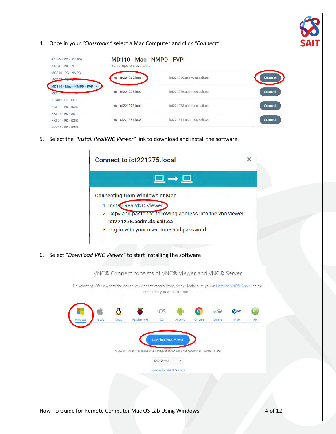4. Once in your *"Classroom"* select a Mac Computer and click *"Connect"*



5. Select the *"Install RealVNC Viewer"* link to download and install the software.

|                                                                     | Connect to ict221275.local                                                                                        |                                                                                                                                                                    |                            |                               |        |                    |                      | ×    |
|---------------------------------------------------------------------|-------------------------------------------------------------------------------------------------------------------|--------------------------------------------------------------------------------------------------------------------------------------------------------------------|----------------------------|-------------------------------|--------|--------------------|----------------------|------|
|                                                                     |                                                                                                                   |                                                                                                                                                                    |                            | 므→므                           |        |                    |                      |      |
|                                                                     | <b>Connecting from Windows or Mac</b>                                                                             | 1. Install RealVNC Viewer<br>2. Copy and paste the following address into the vnc viewer<br>ict221275.acdm.ds.sait.ca<br>3. Log in with your username and password |                            |                               |        |                    |                      |      |
| Select "Download VNC Viewer" to start installing the software<br>6. |                                                                                                                   |                                                                                                                                                                    |                            |                               |        |                    |                      |      |
|                                                                     | VNC® Connect consists of VNC® Viewer and VNC® Server                                                              |                                                                                                                                                                    |                            |                               |        |                    |                      |      |
|                                                                     | Download VNC® Viewer to the device you want to control from, below. Make sure you've installed VNC® Server on the |                                                                                                                                                                    |                            | computer you want to control. |        |                    |                      |      |
|                                                                     | macOs<br>LIFIUX                                                                                                   | Raspberry PI                                                                                                                                                       | iOS<br>IOS                 | Android                       | Chrome | socaris<br>Solaris | <b>MOUX</b><br>HP-UX | AIX. |
|                                                                     |                                                                                                                   |                                                                                                                                                                    |                            |                               |        |                    |                      |      |
|                                                                     |                                                                                                                   | 5HA-256; 6764e39303b4c49e8401e91878b1b26e3706ab5ffb4bac5f6e6334ecfe3363ae                                                                                          | <b>Download VNC Viewer</b> |                               |        |                    |                      |      |
|                                                                     |                                                                                                                   |                                                                                                                                                                    | EXE XB6/X64                |                               |        |                    |                      |      |
|                                                                     |                                                                                                                   |                                                                                                                                                                    | Looking for VNC® Server?   |                               |        |                    |                      |      |
|                                                                     |                                                                                                                   |                                                                                                                                                                    |                            |                               |        |                    |                      |      |
|                                                                     |                                                                                                                   |                                                                                                                                                                    |                            |                               |        |                    |                      |      |

How-To Guide for Remote Computer Mac OS Lab Using Windows 4 of 12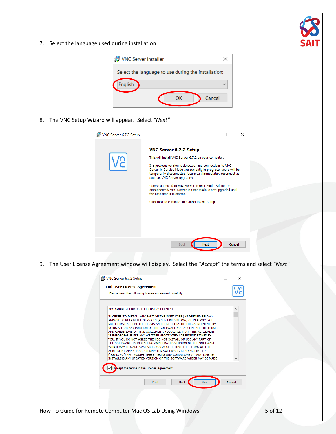

7. Select the language used during installation



8. The VNC Setup Wizard will appear. Select *"Next"*



9. The User License Agreement window will display. Select the *"Accept"* the terms and select *"Next"*

| VNC CONNECT END USER LICENSE AGREEMENT                                                                                                                                                                                                                                                                                                                                                                                                                                                                                                                                                                                                                                                                                                                                                                                            |  |
|-----------------------------------------------------------------------------------------------------------------------------------------------------------------------------------------------------------------------------------------------------------------------------------------------------------------------------------------------------------------------------------------------------------------------------------------------------------------------------------------------------------------------------------------------------------------------------------------------------------------------------------------------------------------------------------------------------------------------------------------------------------------------------------------------------------------------------------|--|
| IN ORDER TO INSTALL ANY PART OF THE SOFTWARE (AS DEFINED BELOW),<br>AND/OR TO RETAIN THE SERVICES (AS DEFINED BELOW) OF REALVNC, YOU<br>MUST FIRST ACCEPT THE TERMS AND CONDITIONS OF THIS AGREEMENT. BY<br>USING ALL OR ANY PORTION OF THE SOFTWARE YOU ACCEPT ALL THE TERMS.<br>AND CONDITIONS OF THIS AGREEMENT. YOU AGREE THAT THIS AGREEMENT<br>IS ENFORCEABLE LIKE ANY WRITTEN NEGOTIATED AGREEMENT SIGNED BY<br>YOU. IF YOU DO NOT AGREE THEN DO NOT INSTALL OR USE ANY PART OF<br>THE SOFTWARE, BY INSTALLING ANY UPDATED VERSION OF THE SOFTWARE<br>WHICH MAY BE MADE AVAILABLE, YOU ACCEPT THAT THE TERMS OF THIS<br>AGREEMENT APPLY TO SUCH UPDATED SOFTWARE. REALVNC LIMITED<br>("REALVNC") MAY MODIFY THESE TERMS AND CONDITIONS AT ANY TIME. BY<br>INSTALLING ANY UPDATED VERSION OF THE SOFTWARE WHICH MAY BE MADE |  |
| cept the terms in the License Agreement                                                                                                                                                                                                                                                                                                                                                                                                                                                                                                                                                                                                                                                                                                                                                                                           |  |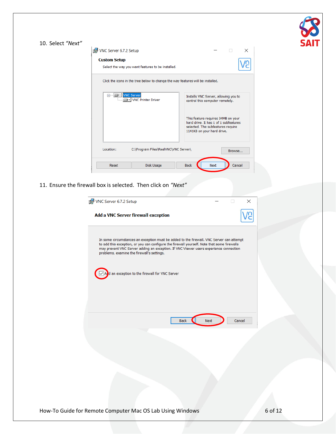| 10. Select "Next" |                                                                                                                                                                                                                                                                                                                                                                                          | VC<br><b>SAI1</b> |
|-------------------|------------------------------------------------------------------------------------------------------------------------------------------------------------------------------------------------------------------------------------------------------------------------------------------------------------------------------------------------------------------------------------------|-------------------|
|                   | VNC Server 6.7.2 Setup<br>$\Box$<br>×                                                                                                                                                                                                                                                                                                                                                    |                   |
|                   | <b>Custom Setup</b>                                                                                                                                                                                                                                                                                                                                                                      |                   |
|                   | n<br>C<br>Select the way you want features to be installed.                                                                                                                                                                                                                                                                                                                              |                   |
|                   | Click the icons in the tree below to change the way features will be installed.                                                                                                                                                                                                                                                                                                          |                   |
|                   | <b>E-E-VNC Server</b><br>Installs VNC Server, allowing you to<br><b>D</b> - VNC Printer Driver<br>control this computer remotely.<br>This feature requires 34MB on your<br>hard drive. It has 1 of 1 subfeatures<br>selected. The subfeatures require<br>1141KB on your hard drive.                                                                                                      |                   |
|                   | C:\Program Files\RealVNC\VNC Server\<br>Location:<br>Browse                                                                                                                                                                                                                                                                                                                              |                   |
|                   | Disk Usage<br><b>Back</b><br>Cancel<br>Reset<br>Next                                                                                                                                                                                                                                                                                                                                     |                   |
|                   | 11. Ensure the firewall box is selected. Then click on "Next"                                                                                                                                                                                                                                                                                                                            |                   |
|                   | VNC Server 6.7.2 Setup<br>$\Box$<br>$\times$                                                                                                                                                                                                                                                                                                                                             |                   |
|                   | Add a VNC Server firewall exception                                                                                                                                                                                                                                                                                                                                                      |                   |
|                   | In some circumstances an exception must be added to the firewall. VNC Server can attempt<br>to add this exception, or you can configure the firewall yourself. Note that some firewalls<br>may prevent VNC Server adding an exception. If VNC Viewer users experience connection<br>problems, examine the firewall's settings.<br>$\sqrt{A}$ an exception to the firewall for VNC Server |                   |
|                   | <b>Back</b><br>Next<br>Cancel                                                                                                                                                                                                                                                                                                                                                            |                   |
|                   |                                                                                                                                                                                                                                                                                                                                                                                          |                   |
|                   |                                                                                                                                                                                                                                                                                                                                                                                          |                   |
|                   |                                                                                                                                                                                                                                                                                                                                                                                          |                   |
|                   |                                                                                                                                                                                                                                                                                                                                                                                          |                   |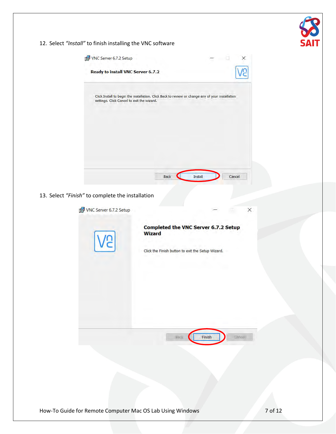| VNC Server 6.7.2 Setup                           |                                                                                                            | $\times$<br>=             |  |
|--------------------------------------------------|------------------------------------------------------------------------------------------------------------|---------------------------|--|
| Ready to install VNC Server 6.7.2                |                                                                                                            | ę                         |  |
| settings. Click Cancel to exit the wizard.       | Click Install to begin the installation. Click Back to review or change any of your installation           |                           |  |
|                                                  |                                                                                                            |                           |  |
|                                                  |                                                                                                            |                           |  |
|                                                  | <b>Back</b><br>Install                                                                                     | Cancel                    |  |
| 13. Select "Finish" to complete the installation |                                                                                                            |                           |  |
| VNC Server 6.7.2 Setup                           |                                                                                                            | $\times$                  |  |
|                                                  | Completed the VNC Server 6.7.2 Setup<br><b>Wizard</b><br>Click the Finish button to exit the Setup Wizard. |                           |  |
|                                                  |                                                                                                            |                           |  |
|                                                  |                                                                                                            |                           |  |
|                                                  | <b>Vack</b>                                                                                                | <b>Carlcell</b><br>Finish |  |
|                                                  |                                                                                                            |                           |  |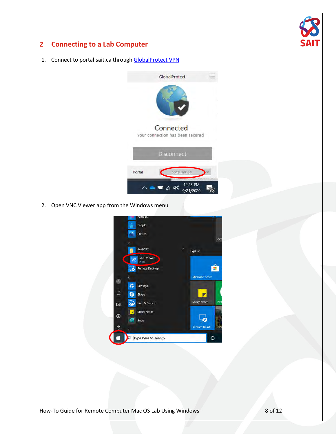

# <span id="page-7-0"></span>**2 Connecting to a Lab Computer**

1. Connect to portal.sait.ca through [GlobalProtect VPN](https://www.sait.ca/student-life/student-services/technical-support-and-resources/network-and-wifi-access)



2. Open VNC Viewer app from the Windows menu



How-To Guide for Remote Computer Mac OS Lab Using Windows 8 of 12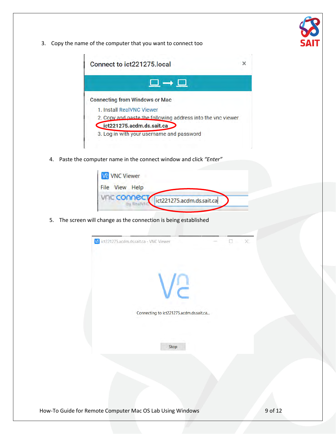3. Copy the name of the computer that you want to connect too



4. Paste the computer name in the connect window and click *"Enter"*

| <b>V2 VNC Viewer</b> |                           |
|----------------------|---------------------------|
| File View Help       |                           |
| <b>VFIC CONNECT</b>  | ict221275.acdm.ds.sait.ca |
|                      |                           |

5. The screen will change as the connection is being established

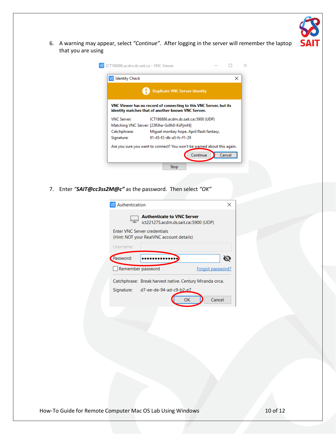

6. A warning may appear, select *"Continue"*. After logging in the server will remember the laptop that you are using

| <b>Duplicate VNC Server identity</b>                                                                                     |                                                                                               |  |  |  |
|--------------------------------------------------------------------------------------------------------------------------|-----------------------------------------------------------------------------------------------|--|--|--|
| VNC Viewer has no record of connecting to this VNC Server, but its<br>identity matches that of another known VNC Server. |                                                                                               |  |  |  |
| <b>VNC Server:</b>                                                                                                       | ICT186886.acdm.ds.sait.ca::5900 (UDP)                                                         |  |  |  |
| Matching VNC Server: [23RJhe-Gs9h8-KsPjmN]                                                                               |                                                                                               |  |  |  |
|                                                                                                                          |                                                                                               |  |  |  |
| Catchphrase:                                                                                                             | Miguel monkey hope. April flash fantasy.                                                      |  |  |  |
| Signature:                                                                                                               | 91-45-f2-db-a5-fc-f1-29                                                                       |  |  |  |
|                                                                                                                          | Are you sure you want to connect? You won't be warned about this again.<br>Continue<br>Cancel |  |  |  |

7. Enter *"SAIT@cc3ss2M@c"* as the password. Then select *"OK"*

| Authentication    |                                                                                 |                  |
|-------------------|---------------------------------------------------------------------------------|------------------|
|                   | <b>Authenticate to VNC Server</b><br>ict221275.acdm.ds.sait.ca::5900 (UDP)      |                  |
|                   | <b>Enter VNC Server credentials</b><br>(Hint: NOT your RealVNC account details) |                  |
| Username:         |                                                                                 |                  |
| Password:         |                                                                                 |                  |
| Remember password |                                                                                 | Forgot password? |
|                   | Catchphrase: Break harvest native. Century Miranda orca.                        |                  |
| Signature:        | d7-ee-de-94-ad-c9-b2-e7                                                         |                  |
|                   | OК                                                                              | Cancel           |
|                   |                                                                                 |                  |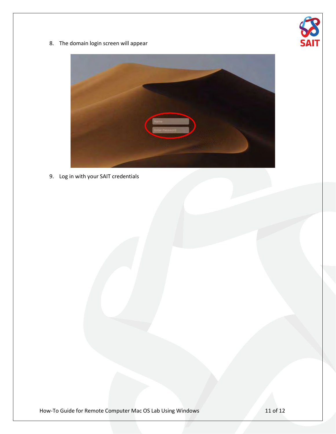

8. The domain login screen will appear



9. Log in with your SAIT credentials